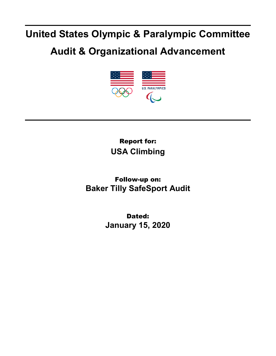## **United States Olympic & Paralympic Committee**

## **Audit & Organizational Advancement**



Report for: **USA Climbing**

Follow-up on: **Baker Tilly SafeSport Audit**

> Dated: **January 15, 2020**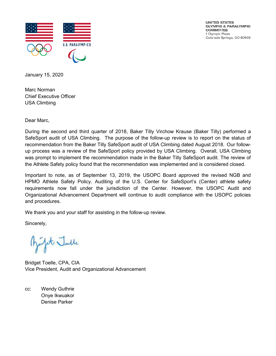

UNITED STATES OLYMPIC & PARALYMPIC **COMMITTEE** 1 Olympic Plaza Colorado Springs, CO 80909

January 15, 2020

Marc Norman Chief Executive Officer USA Climbing

Dear Marc,

During the second and third quarter of 2018, Baker Tilly Virchow Krause (Baker Tilly) performed a SafeSport audit of USA Climbing. The purpose of the follow-up review is to report on the status of recommendation from the Baker Tilly SafeSport audit of USA Climbing dated August 2018. Our followup process was a review of the SafeSport policy provided by USA Climbing. Overall, USA Climbing was prompt to implement the recommendation made in the Baker Tilly SafeSport audit. The review of the Athlete Safety policy found that the recommendation was implemented and is considered closed.

Important to note, as of September 13, 2019, the USOPC Board approved the revised NGB and HPMO Athlete Safety Policy. Auditing of the U.S. Center for SafeSport's (Center) athlete safety requirements now fall under the jurisdiction of the Center. However, the USOPC Audit and Organizational Advancement Department will continue to audit compliance with the USOPC policies and procedures.

We thank you and your staff for assisting in the follow-up review.

Sincerely,

Julit Julle

Bridget Toelle, CPA, CIA Vice President, Audit and Organizational Advancement

cc: Wendy Guthrie Onye Ikwuakor Denise Parker